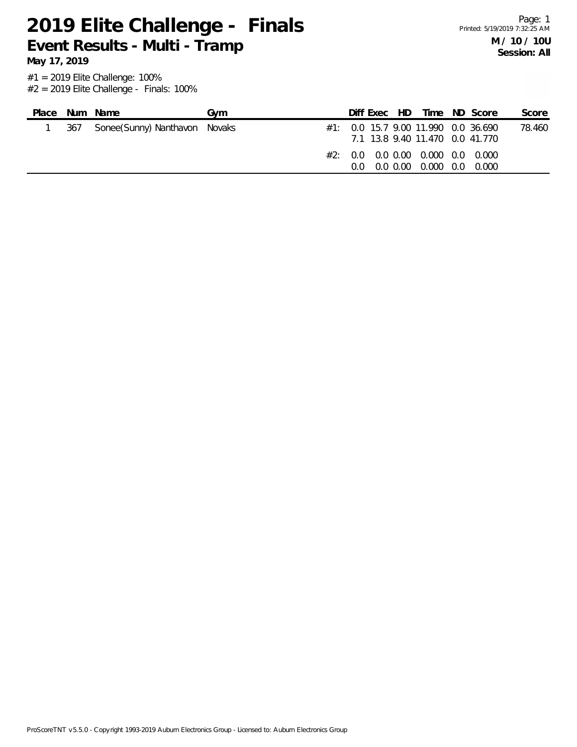**May 17, 2019**

| Place | Num Name                          | Gvm |  | Diff Exec HD |                                                                              | Time ND Score                                                              | Score  |
|-------|-----------------------------------|-----|--|--------------|------------------------------------------------------------------------------|----------------------------------------------------------------------------|--------|
|       | 367 Sonee(Sunny) Nanthavon Novaks |     |  |              |                                                                              | $\#1$ : 0.0 15.7 9.00 11.990 0.0 36.690<br>7.1 13.8 9.40 11.470 0.0 41.770 | 78.460 |
|       |                                   |     |  |              | #2: 0.0 0.0 0.00 0.000 0.0 0.000<br>$0.0$ $0.0$ $0.00$ $0.000$ $0.0$ $0.000$ |                                                                            |        |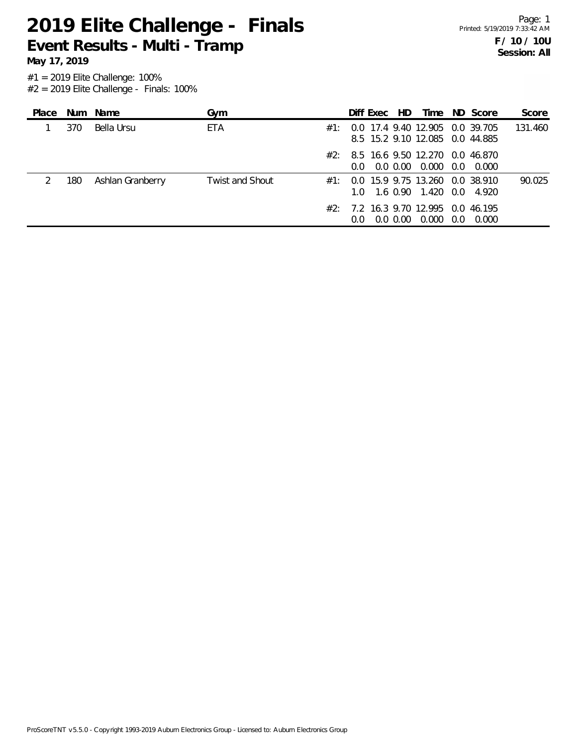**May 17, 2019**

| Place |     | Num Name         | Gym                    |     | Diff Exec                                                          | HD          |                            | Time ND Score | Score   |
|-------|-----|------------------|------------------------|-----|--------------------------------------------------------------------|-------------|----------------------------|---------------|---------|
|       | 370 | Bella Ursu       | ETA                    | #1  | 0.0 17.4 9.40 12.905 0.0 39.705<br>8.5 15.2 9.10 12.085 0.0 44.885 |             |                            |               | 131.460 |
|       |     |                  |                        |     | $\#2$ : 8.5 16.6 9.50 12.270 0.0 46.870<br>$0.0^{\circ}$           |             | $0.0$ $0.00$ $0.000$ $0.0$ | 0.000         |         |
|       | 180 | Ashlan Granberry | <b>Twist and Shout</b> | #1: | 0.0 15.9 9.75 13.260 0.0 38.910<br>1.0 1.6 0.90 1.420 0.0 4.920    |             |                            |               | 90.025  |
|       |     |                  |                        |     | $#2: 7.2$ 16.3 9.70 12.995 0.0 46.195                              | $0.0\,0.00$ | $0.000 \quad 0.0$          | 0.000         |         |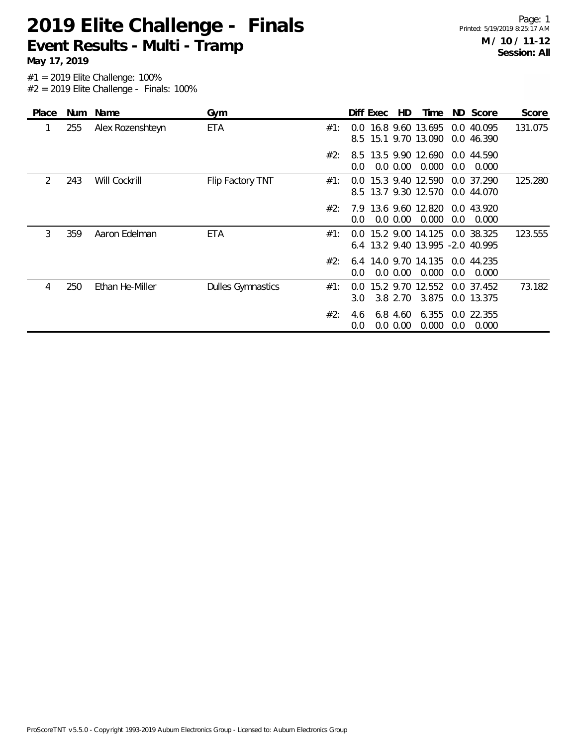Page: 1 Printed: 5/19/2019 8:25:17 AM **M / 10 / 11-12 Session: All**

**May 17, 2019**

| <b>Place</b> | <b>Num</b> | Name             | Gym                      |     |                      | Diff Exec | HD                      | Time                                                 |     | ND Score                 | Score   |
|--------------|------------|------------------|--------------------------|-----|----------------------|-----------|-------------------------|------------------------------------------------------|-----|--------------------------|---------|
| 1            | 255        | Alex Rozenshteyn | ETA                      | #1: |                      |           |                         | 0.0 16.8 9.60 13.695<br>8.5 15.1 9.70 13.090         |     | 0.0 40.095<br>0.0 46.390 | 131.075 |
|              |            |                  |                          | #2: | 0.0                  |           | $0.0\,0.00$             | 8.5 13.5 9.90 12.690<br>0.000                        | 0.0 | 0.0 44.590<br>0.000      |         |
| 2            | 243        | Will Cockrill    | Flip Factory TNT         | #1: | $0.0^{\circ}$<br>8.5 |           |                         | 15.3 9.40 12.590<br>13.7 9.30 12.570                 |     | 0.0 37.290<br>0.0 44.070 | 125.280 |
|              |            |                  |                          | #2: | $0.0^{\circ}$        |           | 0.0 0.00                | 7.9 13.6 9.60 12.820 0.0 43.920<br>0.000             | 0.0 | 0.000                    |         |
| 3            | 359        | Aaron Edelman    | ETA                      | #1: | $0.0^{\circ}$        |           |                         | 15.2 9.00 14.125<br>6.4 13.2 9.40 13.995 -2.0 40.995 |     | 0.0 38.325               | 123.555 |
|              |            |                  |                          | #2: | 0.0                  |           | $0.0\,0.00$             | 6.4 14.0 9.70 14.135<br>0.000                        | 0.0 | 0.0 44.235<br>0.000      |         |
| 4            | 250        | Ethan He-Miller  | <b>Dulles Gymnastics</b> | #1: | 0.0<br>3.0           |           | 3.8 2.70                | 15.2 9.70 12.552<br>3.875                            |     | 0.0 37.452<br>0.0 13.375 | 73.182  |
|              |            |                  |                          | #2: | 4.6<br>0.0           |           | 6.8 4.60<br>$0.0\ 0.00$ | 6.355<br>0.000                                       | 0.0 | 0.0 22.355<br>0.000      |         |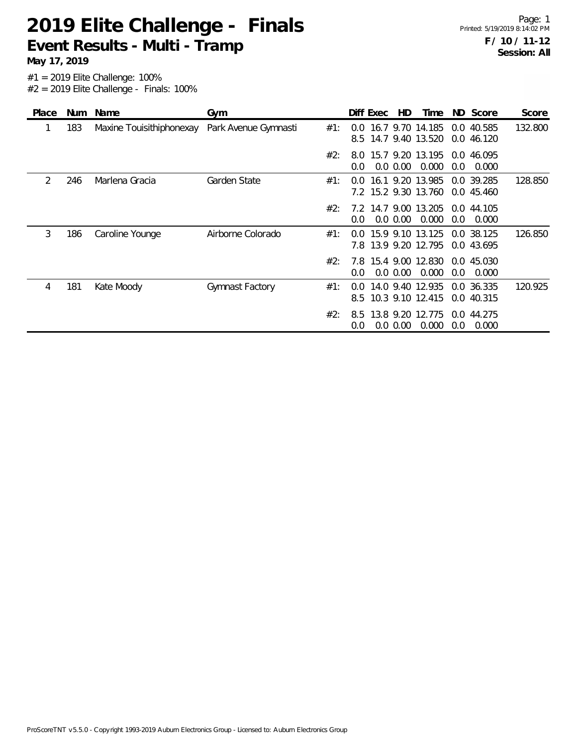**May 17, 2019**

| <b>Place</b> | <b>Num</b> | Name                     | Gym                  |     |                      | Diff Exec | HD          | Time                                     |     | ND Score                 | Score   |
|--------------|------------|--------------------------|----------------------|-----|----------------------|-----------|-------------|------------------------------------------|-----|--------------------------|---------|
|              | 183        | Maxine Touisithiphonexay | Park Avenue Gymnasti | #1: | $0.0^{\circ}$        |           |             | 16.7 9.70 14.185<br>8.5 14.7 9.40 13.520 |     | 0.0 40.585<br>0.0 46.120 | 132.800 |
|              |            |                          |                      | #2: | 8.0<br>$0.0^{\circ}$ |           | $0.0\,0.00$ | 15.7 9.20 13.195<br>0.000                | 0.0 | 0.0 46.095<br>0.000      |         |
| 2            | 246        | Marlena Gracia           | Garden State         | #1: | $0.0^{\circ}$        |           |             | 16.1 9.20 13.985<br>7.2 15.2 9.30 13.760 |     | 0.0 39.285<br>0.0 45.460 | 128.850 |
|              |            |                          |                      | #2: | $0.0^{\circ}$        |           | $0.0\,0.00$ | 7.2 14.7 9.00 13.205<br>0.000            | 0.0 | 0.0 44.105<br>0.000      |         |
| 3            | 186        | Caroline Younge          | Airborne Colorado    | #1: | 0.0                  |           |             | 15.9 9.10 13.125<br>7.8 13.9 9.20 12.795 |     | 0.0 38.125<br>0.0 43.695 | 126.850 |
|              |            |                          |                      | #2: | 7.8<br>0.0           |           | $0.0\,0.00$ | 15.4 9.00 12.830<br>0.000                | 0.0 | 0.0 45.030<br>0.000      |         |
| 4            | 181        | Kate Moody               | Gymnast Factory      | #1: | 0.0<br>8.5           |           |             | 14.0 9.40 12.935<br>10.3 9.10 12.415     |     | 0.0 36.335<br>0.0 40.315 | 120.925 |
|              |            |                          |                      | #2: | 8.5<br>0.0           |           | $0.0\,0.00$ | 13.8 9.20 12.775<br>0.000                | 0.0 | 0.0 44.275<br>0.000      |         |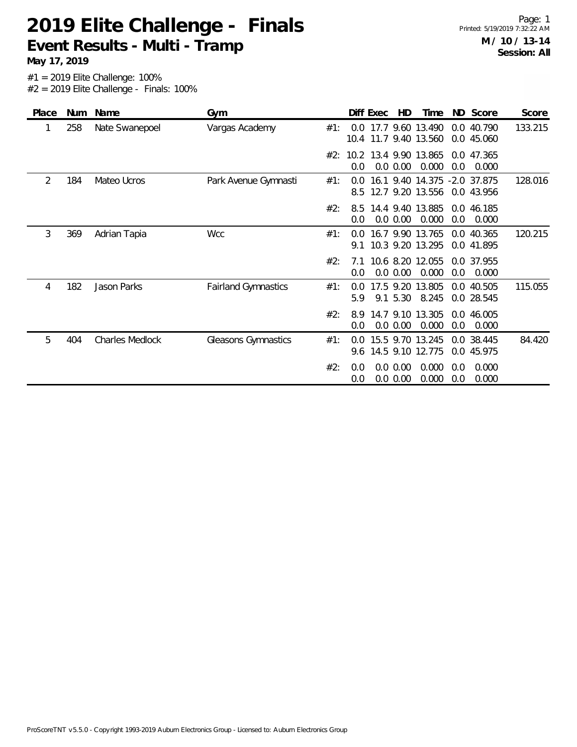**May 17, 2019**

| Place | <b>Num</b> | Name                   | Gym                        |     |            | Diff Exec | HD                   | Time                                             |            | ND Score                 | Score   |
|-------|------------|------------------------|----------------------------|-----|------------|-----------|----------------------|--------------------------------------------------|------------|--------------------------|---------|
| 1     | 258        | Nate Swanepoel         | Vargas Academy             | #1: | 0.0        |           |                      | 17.7 9.60 13.490<br>10.4 11.7 9.40 13.560        |            | 0.0 40.790<br>0.0 45.060 | 133.215 |
|       |            |                        |                            | #2: | 0.0        |           | 0.0 0.00             | 10.2 13.4 9.90 13.865<br>0.000                   | 0.0        | 0.0 47.365<br>0.000      |         |
| 2     | 184        | Mateo Ucros            | Park Avenue Gymnasti       | #1: | 0.0<br>8.5 |           |                      | 16.1 9.40 14.375 -2.0 37.875<br>12.7 9.20 13.556 |            | 0.0 43.956               | 128.016 |
|       |            |                        |                            | #2: | 8.5<br>0.0 |           | 0.0 0.00             | 14.4 9.40 13.885<br>0.000                        | 0.0        | 0.0 46.185<br>0.000      |         |
| 3     | 369        | Adrian Tapia           | <b>Wcc</b>                 | #1: | 0.0<br>91  |           |                      | 16.7 9.90 13.765<br>10.3 9.20 13.295             |            | 0.0 40.365<br>0.0 41.895 | 120.215 |
|       |            |                        |                            | #2: | 7.1<br>0.0 |           | 0.0 0.00             | 10.6 8.20 12.055<br>0.000                        | 0.0        | 0.0 37.955<br>0.000      |         |
| 4     | 182        | Jason Parks            | <b>Fairland Gymnastics</b> | #1: | 0.0<br>5.9 |           | 9.1 5.30             | 17.5 9.20 13.805<br>8.245                        |            | 0.0 40.505<br>0.0 28.545 | 115.055 |
|       |            |                        |                            | #2: | 8.9<br>0.0 |           | 0.0 0.00             | 14.7 9.10 13.305<br>0.000                        | 0.0        | 0.0 46.005<br>0.000      |         |
| 5     | 404        | <b>Charles Medlock</b> | Gleasons Gymnastics        | #1: | 0.0<br>9.6 |           |                      | 15.5 9.70 13.245<br>14.5 9.10 12.775             |            | 0.0 38.445<br>0.0 45.975 | 84.420  |
|       |            |                        |                            | #2: | 0.0<br>0.0 |           | 0.0 0.00<br>0.0 0.00 | 0.000<br>0.000                                   | 0.0<br>0.0 | 0.000<br>0.000           |         |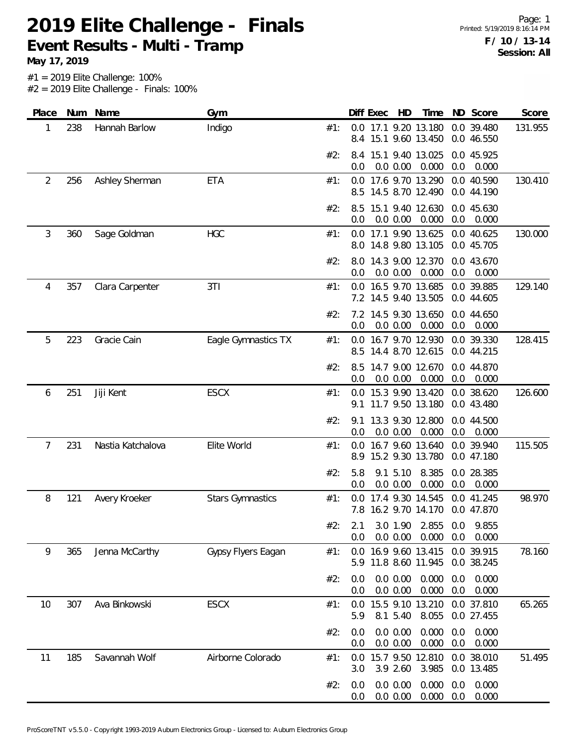**May 17, 2019**

| Place | Num | Name              | Gym                     |     | Diff Exec<br>HD<br>ND Score<br>Score<br>Time                                              |
|-------|-----|-------------------|-------------------------|-----|-------------------------------------------------------------------------------------------|
| 1     | 238 | Hannah Barlow     | Indigo                  | #1: | 0.0 17.1 9.20 13.180<br>0.0 39.480<br>131.955<br>15.1 9.60 13.450<br>0.0 46.550<br>8.4    |
|       |     |                   |                         | #2: | 15.1 9.40 13.025<br>0.0 45.925<br>8.4<br>0.000<br>0.0 0.00<br>0.0<br>0.000<br>0.0         |
| 2     | 256 | Ashley Sherman    | <b>ETA</b>              | #1: | 0.0 17.6 9.70 13.290<br>0.0 40.590<br>130.410<br>14.5 8.70 12.490<br>0.0 44.190<br>8.5    |
|       |     |                   |                         | #2: | 15.1 9.40 12.630<br>0.0 45.630<br>8.5<br>0.000<br>0.0<br>0.0 0.00<br>0.0<br>0.000         |
| 3     | 360 | Sage Goldman      | <b>HGC</b>              | #1: | 17.1 9.90 13.625<br>0.0 40.625<br>130.000<br>0.0<br>8.0 14.8 9.80 13.105<br>0.0 45.705    |
|       |     |                   |                         | #2: | 14.3 9.00 12.370<br>0.0 43.670<br>8.0<br>0.000<br>0.0 0.00<br>0.0<br>0.000<br>0.0         |
| 4     | 357 | Clara Carpenter   | 3T1                     | #1: | 0.0 16.5 9.70 13.685<br>0.0 39.885<br>129.140<br>7.2 14.5 9.40 13.505<br>0.0 44.605       |
|       |     |                   |                         | #2: | 7.2 14.5 9.30 13.650<br>0.0 44.650<br>0.0<br>0.0 0.00<br>0.000<br>0.0<br>0.000            |
| 5     | 223 | Gracie Cain       | Eagle Gymnastics TX     | #1: | 128.415<br>0.0 16.7 9.70 12.930<br>0.0 39.330<br>14.4 8.70 12.615<br>0.0 44.215<br>8.5    |
|       |     |                   |                         | #2: | 14.7 9.00 12.670<br>8.5<br>0.0 44.870<br>0.0 0.00<br>0.000<br>0.0<br>0.000<br>0.0         |
| 6     | 251 | Jiji Kent         | <b>ESCX</b>             | #1: | 15.3 9.90 13.420<br>0.0 38.620<br>126.600<br>0.0<br>11.7 9.50 13.180<br>0.0 43.480<br>9.1 |
|       |     |                   |                         | #2: | 13.3 9.30 12.800<br>0.0 44.500<br>9.1<br>0.0 0.00<br>0.000<br>0.0<br>0.0<br>0.000         |
| 7     | 231 | Nastia Katchalova | Elite World             | #1: | 16.7 9.60 13.640<br>0.0 39.940<br>115.505<br>0.0<br>15.2 9.30 13.780<br>8.9<br>0.0 47.180 |
|       |     |                   |                         | #2: | 5.8<br>9.1 5.10<br>8.385<br>0.0 28.385<br>0.000<br>0.0<br>0.0<br>0.0 0.00<br>0.000        |
| 8     | 121 | Avery Kroeker     | <b>Stars Gymnastics</b> | #1: | 98.970<br>17.4 9.30 14.545<br>0.0 41.245<br>0.0<br>16.2 9.70 14.170<br>0.0 47.870<br>7.8  |
|       |     |                   |                         | #2: | 3.0 1.90 2.855<br>0.0<br>9.855<br>2.1<br>0.0 0.00<br>0.000<br>0.000<br>0.0<br>0.0         |
| 9     | 365 | Jenna McCarthy    | Gypsy Flyers Eagan      | #1: | 16.9 9.60 13.415<br>0.0 39.915<br>78.160<br>0.0<br>5.9 11.8 8.60 11.945<br>0.0 38.245     |
|       |     |                   |                         | #2: | 0.0 0.00<br>0.000<br>0.000<br>0.0<br>0.0<br>0.0 0.00<br>0.000<br>0.0<br>0.000<br>0.0      |
| 10    | 307 | Ava Binkowski     | <b>ESCX</b>             | #1: | 15.5 9.10 13.210<br>0.0 37.810<br>65.265<br>0.0<br>8.1 5.40<br>8.055<br>0.0 27.455<br>5.9 |
|       |     |                   |                         | #2: | 0.0 0.00<br>0.000<br>0.0<br>0.000<br>0.0<br>0.0<br>0.0 0.00<br>0.000<br>0.0<br>0.000      |
| 11    | 185 | Savannah Wolf     | Airborne Colorado       | #1: | 15.7 9.50 12.810<br>0.0 38.010<br>51.495<br>0.0<br>3.9 2.60<br>3.985<br>0.0 13.485<br>3.0 |
|       |     |                   |                         | #2: | 0.0 0.00<br>0.000<br>0.000<br>0.0<br>0.0<br>0.000<br>0.0 0.00<br>0.0<br>0.000<br>0.0      |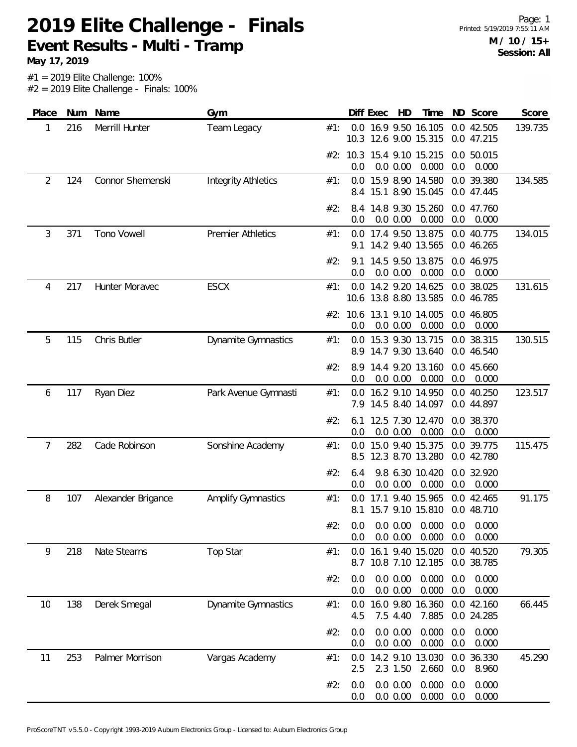**May 17, 2019**

| Place | Num | Name               | Gym                        |     |            | Diff Exec | HD                   | Time                                          |            | ND Score                 | Score   |
|-------|-----|--------------------|----------------------------|-----|------------|-----------|----------------------|-----------------------------------------------|------------|--------------------------|---------|
| 1     | 216 | Merrill Hunter     | Team Legacy                | #1: |            |           |                      | 0.0 16.9 9.50 16.105<br>10.3 12.6 9.00 15.315 |            | 0.0 42.505<br>0.0 47.215 | 139.735 |
|       |     |                    |                            |     | 0.0        |           | 0.0 0.00             | #2: 10.3 15.4 9.10 15.215<br>0.000            | 0.0        | 0.0 50.015<br>0.000      |         |
| 2     | 124 | Connor Shemenski   | <b>Integrity Athletics</b> | #1: | 8.4        |           |                      | 0.0 15.9 8.90 14.580<br>15.1 8.90 15.045      |            | 0.0 39.380<br>0.0 47.445 | 134.585 |
|       |     |                    |                            | #2: | 8.4<br>0.0 |           | 0.0 0.00             | 14.8 9.30 15.260<br>0.000                     | 0.0        | 0.0 47.760<br>0.000      |         |
| 3     | 371 | Tono Vowell        | <b>Premier Athletics</b>   | #1: | 0.0<br>9.1 |           |                      | 17.4 9.50 13.875<br>14.2 9.40 13.565          |            | 0.0 40.775<br>0.0 46.265 | 134.015 |
|       |     |                    |                            | #2: | 9.1<br>0.0 |           | 0.0 0.00             | 14.5 9.50 13.875<br>0.000                     | 0.0        | 0.0 46.975<br>0.000      |         |
| 4     | 217 | Hunter Moravec     | <b>ESCX</b>                | #1: |            |           |                      | 0.0 14.2 9.20 14.625<br>10.6 13.8 8.80 13.585 |            | 0.0 38.025<br>0.0 46.785 | 131.615 |
|       |     |                    |                            |     | 0.0        |           | 0.0 0.00             | #2: 10.6 13.1 9.10 14.005<br>0.000            | 0.0        | 0.0 46.805<br>0.000      |         |
| 5     | 115 | Chris Butler       | <b>Dynamite Gymnastics</b> | #1: | 8.9        |           |                      | 0.0 15.3 9.30 13.715<br>14.7 9.30 13.640      |            | 0.0 38.315<br>0.0 46.540 | 130.515 |
|       |     |                    |                            | #2: | 8.9<br>0.0 |           | 0.0 0.00             | 14.4 9.20 13.160<br>0.000                     | 0.0        | 0.0 45.660<br>0.000      |         |
| 6     | 117 | Ryan Diez          | Park Avenue Gymnasti       | #1: | 0.0        |           |                      | 16.2 9.10 14.950<br>7.9 14.5 8.40 14.097      |            | 0.0 40.250<br>0.0 44.897 | 123.517 |
|       |     |                    |                            | #2: | 6.1<br>0.0 |           | 0.0 0.00             | 12.5 7.30 12.470<br>0.000                     | 0.0        | 0.0 38.370<br>0.000      |         |
| 7     | 282 | Cade Robinson      | Sonshine Academy           | #1: | 0.0<br>8.5 |           |                      | 15.0 9.40 15.375<br>12.3 8.70 13.280          |            | 0.0 39.775<br>0.0 42.780 | 115.475 |
|       |     |                    |                            | #2: | 6.4<br>0.0 |           | 0.0 0.00             | 9.8 6.30 10.420<br>0.000                      | 0.0        | 0.0 32.920<br>0.000      |         |
| 8     | 107 | Alexander Brigance | <b>Amplify Gymnastics</b>  | #1: | 0.0<br>8.1 |           |                      | 17.1 9.40 15.965<br>15.7 9.10 15.810          |            | 0.0 42.465<br>0.0 48.710 | 91.175  |
|       |     |                    |                            | #2: | 0.0<br>0.0 |           | 0.0 0.00             | $0.0$ $0.00$ $0.000$<br>0.000                 | 0.0<br>0.0 | 0.000<br>0.000           |         |
| 9     | 218 | Nate Stearns       | Top Star                   | #1: | 0.0<br>8.7 |           |                      | 16.1 9.40 15.020<br>10.8 7.10 12.185          |            | 0.0 40.520<br>0.0 38.785 | 79.305  |
|       |     |                    |                            | #2: | 0.0<br>0.0 |           | 0.0 0.00<br>0.0 0.00 | 0.000<br>0.000                                | 0.0<br>0.0 | 0.000<br>0.000           |         |
| 10    | 138 | Derek Smegal       | <b>Dynamite Gymnastics</b> | #1: | 0.0<br>4.5 |           | 7.5 4.40             | 16.0 9.80 16.360<br>7.885                     |            | 0.0 42.160<br>0.0 24.285 | 66.445  |
|       |     |                    |                            | #2: | 0.0<br>0.0 |           | 0.0 0.00<br>0.0 0.00 | 0.000<br>0.000                                | 0.0<br>0.0 | 0.000<br>0.000           |         |
| 11    | 253 | Palmer Morrison    | Vargas Academy             | #1: | 0.0<br>2.5 |           | 2.3 1.50             | 14.2 9.10 13.030<br>2.660                     | 0.0        | 0.0 36.330<br>8.960      | 45.290  |
|       |     |                    |                            | #2: | 0.0<br>0.0 |           | 0.0 0.00<br>0.0 0.00 | 0.000<br>0.000                                | 0.0<br>0.0 | 0.000<br>0.000           |         |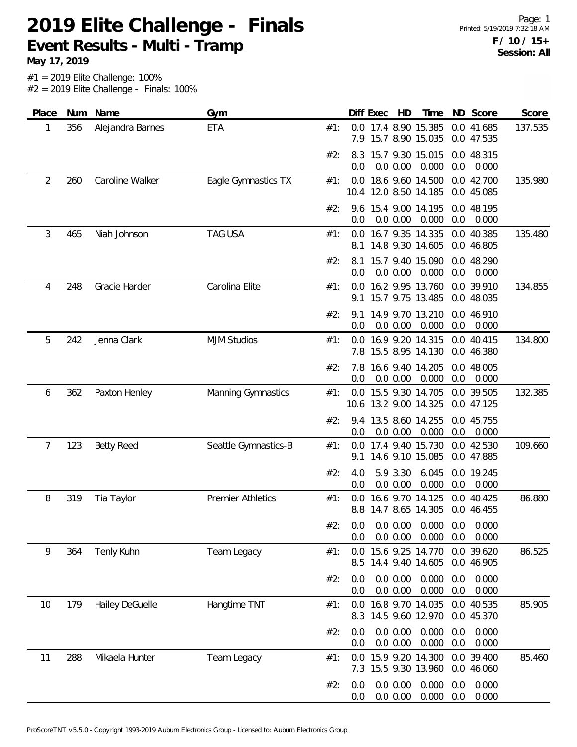**May 17, 2019**

| Place | Num | Name              | Gym                      |     | Diff Exec  | HD                                            | Time           | ND Score                     | Score   |
|-------|-----|-------------------|--------------------------|-----|------------|-----------------------------------------------|----------------|------------------------------|---------|
| 1     | 356 | Alejandra Barnes  | <b>ETA</b>               | #1: | 7.9        | 0.0 17.4 8.90 15.385<br>15.7 8.90 15.035      |                | 0.0 41.685<br>0.0 47.535     | 137.535 |
|       |     |                   |                          | #2: | 8.3<br>0.0 | 15.7 9.30 15.015<br>0.0 0.00                  | 0.000          | 0.0 48.315<br>0.0<br>0.000   |         |
| 2     | 260 | Caroline Walker   | Eagle Gymnastics TX      | #1: |            | 0.0 18.6 9.60 14.500<br>10.4 12.0 8.50 14.185 |                | 0.0 42.700<br>0.0 45.085     | 135.980 |
|       |     |                   |                          | #2: | 0.0        | 9.6 15.4 9.00 14.195<br>0.0 0.00              | 0.000          | 0.0 48.195<br>0.0<br>0.000   |         |
| 3     | 465 | Niah Johnson      | <b>TAG USA</b>           | #1: | 0.0<br>8.1 | 16.7 9.35 14.335<br>14.8 9.30 14.605          |                | 0.0 40.385<br>0.0 46.805     | 135.480 |
|       |     |                   |                          | #2: | 8.1<br>0.0 | 15.7 9.40 15.090<br>0.0 0.00                  | 0.000          | 0.0 48.290<br>0.0<br>0.000   |         |
| 4     | 248 | Gracie Harder     | Carolina Elite           | #1: | 9.1        | 0.0 16.2 9.95 13.760<br>15.7 9.75 13.485      |                | 0.0 39.910<br>0.0 48.035     | 134.855 |
|       |     |                   |                          | #2: | 9.1<br>0.0 | 14.9 9.70 13.210<br>0.0 0.00                  | 0.000          | 0.0 46.910<br>0.0<br>0.000   |         |
| 5     | 242 | Jenna Clark       | <b>MJM Studios</b>       | #1: | 0.0<br>7.8 | 16.9 9.20 14.315<br>15.5 8.95 14.130          |                | 0.0 40.415<br>0.0 46.380     | 134.800 |
|       |     |                   |                          | #2: | 7.8<br>0.0 | 16.6 9.40 14.205<br>0.0 0.00                  | 0.000          | 0.0 48.005<br>0.0<br>0.000   |         |
| 6     | 362 | Paxton Henley     | Manning Gymnastics       | #1: | 0.0        | 15.5 9.30 14.705<br>10.6 13.2 9.00 14.325     |                | 0.0 39.505<br>0.0 47.125     | 132.385 |
|       |     |                   |                          | #2: | 9.4<br>0.0 | 13.5 8.60 14.255<br>0.0 0.00                  | 0.000          | 0.0 45.755<br>0.0<br>0.000   |         |
| 7     | 123 | <b>Betty Reed</b> | Seattle Gymnastics-B     | #1: | 0.0<br>9.1 | 17.4 9.40 15.730<br>14.6 9.10 15.085          |                | 0.0 42.530<br>0.0 47.885     | 109.660 |
|       |     |                   |                          | #2: | 4.0<br>0.0 | 5.9 3.30<br>0.0 0.00                          | 6.045<br>0.000 | 0.0 19.245<br>0.0<br>0.000   |         |
| 8     | 319 | Tia Taylor        | <b>Premier Athletics</b> | #1: | 0.0<br>8.8 | 16.6 9.70 14.125<br>14.7 8.65 14.305          |                | 0.0 40.425<br>0.0 46.455     | 86.880  |
|       |     |                   |                          | #2: | 0.0<br>0.0 | $0.0$ $0.00$ $0.000$<br>0.0 0.00              | 0.000          | 0.0<br>0.000<br>0.0<br>0.000 |         |
| 9     | 364 | Tenly Kuhn        | Team Legacy              | #1: | 0.0<br>8.5 | 15.6 9.25 14.770<br>14.4 9.40 14.605          |                | 0.0 39.620<br>0.0 46.905     | 86.525  |
|       |     |                   |                          | #2: | 0.0<br>0.0 | 0.0 0.00<br>0.0 0.00                          | 0.000<br>0.000 | 0.0<br>0.000<br>0.0<br>0.000 |         |
| 10    | 179 | Hailey DeGuelle   | Hangtime TNT             | #1: | 0.0<br>8.3 | 16.8 9.70 14.035<br>14.5 9.60 12.970          |                | 0.0 40.535<br>0.0 45.370     | 85.905  |
|       |     |                   |                          | #2: | 0.0<br>0.0 | 0.0 0.00<br>0.0 0.00                          | 0.000<br>0.000 | 0.000<br>0.0<br>0.0<br>0.000 |         |
| 11    | 288 | Mikaela Hunter    | Team Legacy              | #1: | 0.0<br>7.3 | 15.9 9.20 14.300<br>15.5 9.30 13.960          |                | 0.0 39.400<br>0.0 46.060     | 85.460  |
|       |     |                   |                          | #2: | 0.0<br>0.0 | 0.0 0.00<br>0.0 0.00                          | 0.000<br>0.000 | 0.000<br>0.0<br>0.0<br>0.000 |         |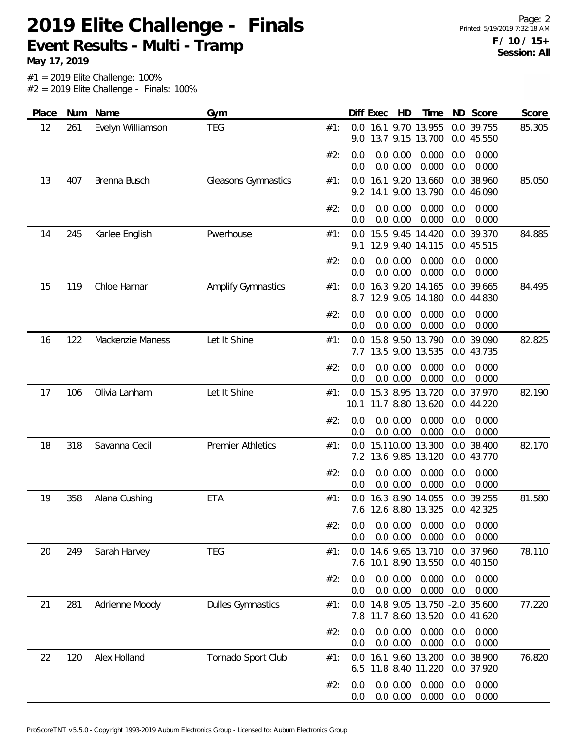**May 17, 2019**

| Place | Num | Name                    | Gym                       |     |            | Diff Exec | HD                   | Time                                                 | ND         | Score                    | Score  |
|-------|-----|-------------------------|---------------------------|-----|------------|-----------|----------------------|------------------------------------------------------|------------|--------------------------|--------|
| 12    | 261 | Evelyn Williamson       | <b>TEG</b>                | #1: | 9.0        |           |                      | 0.0 16.1 9.70 13.955<br>13.7 9.15 13.700             |            | 0.0 39.755<br>0.0 45.550 | 85.305 |
|       |     |                         |                           | #2: | 0.0<br>0.0 |           | 0.0 0.00<br>0.0 0.00 | 0.000<br>0.000                                       | 0.0<br>0.0 | 0.000<br>0.000           |        |
| 13    | 407 | Brenna Busch            | Gleasons Gymnastics       | #1: | 9.2        |           |                      | 0.0 16.1 9.20 13.660<br>14.1 9.00 13.790             |            | 0.0 38.960<br>0.0 46.090 | 85.050 |
|       |     |                         |                           | #2: | 0.0<br>0.0 |           | 0.0 0.00<br>0.0 0.00 | 0.000<br>0.000                                       | 0.0<br>0.0 | 0.000<br>0.000           |        |
| 14    | 245 | Karlee English          | Pwerhouse                 | #1: | 0.0<br>9.1 |           |                      | 15.5 9.45 14.420<br>12.9 9.40 14.115                 |            | 0.0 39.370<br>0.0 45.515 | 84.885 |
|       |     |                         |                           | #2: | 0.0<br>0.0 |           | 0.0 0.00<br>0.0 0.00 | 0.000<br>0.000                                       | 0.0<br>0.0 | 0.000<br>0.000           |        |
| 15    | 119 | Chloe Harnar            | <b>Amplify Gymnastics</b> | #1: | 0.0<br>8.7 |           |                      | 16.3 9.20 14.165<br>12.9 9.05 14.180                 |            | 0.0 39.665<br>0.0 44.830 | 84.495 |
|       |     |                         |                           | #2: | 0.0<br>0.0 |           | 0.0 0.00<br>0.0 0.00 | 0.000<br>0.000                                       | 0.0<br>0.0 | 0.000<br>0.000           |        |
| 16    | 122 | <b>Mackenzie Maness</b> | Let It Shine              | #1: | 0.0<br>7.7 |           |                      | 15.8 9.50 13.790<br>13.5 9.00 13.535                 |            | 0.0 39.090<br>0.0 43.735 | 82.825 |
|       |     |                         |                           | #2: | 0.0<br>0.0 |           | 0.0 0.00<br>0.0 0.00 | 0.000<br>0.000                                       | 0.0<br>0.0 | 0.000<br>0.000           |        |
| 17    | 106 | Olivia Lanham           | Let It Shine              | #1: | 0.0        |           |                      | 15.3 8.95 13.720<br>10.1 11.7 8.80 13.620            |            | 0.0 37.970<br>0.0 44.220 | 82.190 |
|       |     |                         |                           | #2: | 0.0<br>0.0 |           | 0.0 0.00<br>0.0 0.00 | 0.000<br>0.000                                       | 0.0<br>0.0 | 0.000<br>0.000           |        |
| 18    | 318 | Savanna Cecil           | <b>Premier Athletics</b>  | #1: | 0.0        |           |                      | 15.110.00 13.300<br>7.2 13.6 9.85 13.120             |            | 0.0 38.400<br>0.0 43.770 | 82.170 |
|       |     |                         |                           | #2: | 0.0<br>0.0 |           | 0.0 0.00<br>0.0 0.00 | 0.000<br>0.000                                       | 0.0<br>0.0 | 0.000<br>0.000           |        |
| 19    | 358 | Alana Cushing           | ETA                       | #1: | 0.0<br>7.6 |           |                      | 16.3 8.90 14.055<br>12.6 8.80 13.325                 |            | 0.0 39.255<br>0.0 42.325 | 81.580 |
|       |     |                         |                           | #2: | 0.0<br>0.0 |           | 0.0 0.00<br>0.0 0.00 | 0.000<br>0.000                                       | 0.0<br>0.0 | 0.000<br>0.000           |        |
| 20    | 249 | Sarah Harvey            | TEG                       | #1: | 0.0        |           |                      | 14.6 9.65 13.710<br>7.6 10.1 8.90 13.550             |            | 0.0 37.960<br>0.0 40.150 | 78.110 |
|       |     |                         |                           | #2: | 0.0<br>0.0 |           | 0.0 0.00<br>0.0 0.00 | 0.000<br>0.000                                       | 0.0<br>0.0 | 0.000<br>0.000           |        |
| 21    | 281 | Adrienne Moody          | <b>Dulles Gymnastics</b>  | #1: | 7.8        |           |                      | 0.0 14.8 9.05 13.750 -2.0 35.600<br>11.7 8.60 13.520 |            | 0.0 41.620               | 77.220 |
|       |     |                         |                           | #2: | 0.0<br>0.0 |           | 0.0 0.00<br>0.0 0.00 | 0.000<br>0.000                                       | 0.0<br>0.0 | 0.000<br>0.000           |        |
| 22    | 120 | Alex Holland            | Tornado Sport Club        | #1: | 0.0<br>6.5 |           |                      | 16.1 9.60 13.200<br>11.8 8.40 11.220                 |            | 0.0 38.900<br>0.0 37.920 | 76.820 |
|       |     |                         |                           | #2: | 0.0<br>0.0 |           | 0.0 0.00<br>0.0 0.00 | 0.000<br>0.000                                       | 0.0<br>0.0 | 0.000<br>0.000           |        |